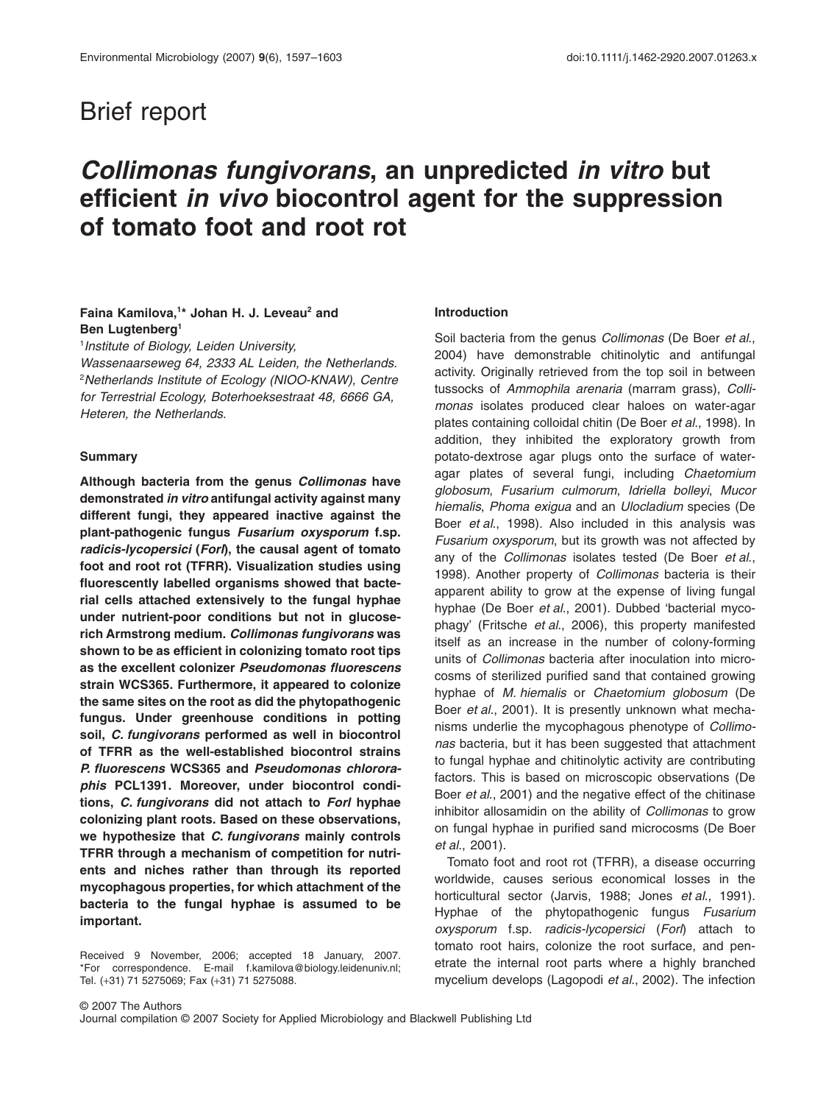## Brief report

# *Collimonas fungivorans***, an unpredicted** *in vitro* **but efficient** *in vivo* **biocontrol agent for the suppression of tomato foot and root rot**

## **Faina Kamilova,1 \* Johan H. J. Leveau2 and Ben Lugtenberg1**

1 *Institute of Biology, Leiden University,*

*Wassenaarseweg 64, 2333 AL Leiden, the Netherlands.* 2 *Netherlands Institute of Ecology (NIOO-KNAW), Centre for Terrestrial Ecology, Boterhoeksestraat 48, 6666 GA, Heteren, the Netherlands.*

#### **Summary**

**Although bacteria from the genus** *Collimonas* **have demonstrated** *in vitro* **antifungal activity against many different fungi, they appeared inactive against the plant-pathogenic fungus** *Fusarium oxysporum* **f.sp.** *radicis-lycopersici* **(***Forl***), the causal agent of tomato foot and root rot (TFRR). Visualization studies using fluorescently labelled organisms showed that bacterial cells attached extensively to the fungal hyphae under nutrient-poor conditions but not in glucoserich Armstrong medium.** *Collimonas fungivorans* **was shown to be as efficient in colonizing tomato root tips as the excellent colonizer** *Pseudomonas fluorescens* **strain WCS365. Furthermore, it appeared to colonize the same sites on the root as did the phytopathogenic fungus. Under greenhouse conditions in potting soil,** *C. fungivorans* **performed as well in biocontrol of TFRR as the well-established biocontrol strains** *P. fluorescens* **WCS365 and** *Pseudomonas chlororaphis* **PCL1391. Moreover, under biocontrol conditions,** *C. fungivorans* **did not attach to** *Forl* **hyphae colonizing plant roots. Based on these observations, we hypothesize that** *C. fungivorans* **mainly controls TFRR through a mechanism of competition for nutrients and niches rather than through its reported mycophagous properties, for which attachment of the bacteria to the fungal hyphae is assumed to be important.**

Received 9 November, 2006; accepted 18 January, 2007. \*For correspondence. E-mail f.[kamilova@biology.leidenuniv.nl;](mailto:kamilova@biology.leidenuniv.nl) Tel. (+31) 71 5275069; Fax (+31) 71 5275088.

#### **Introduction**

Soil bacteria from the genus *Collimonas* (De Boer *et al*., 2004) have demonstrable chitinolytic and antifungal activity. Originally retrieved from the top soil in between tussocks of *Ammophila arenaria* (marram grass), *Collimonas* isolates produced clear haloes on water-agar plates containing colloidal chitin (De Boer *et al*., 1998). In addition, they inhibited the exploratory growth from potato-dextrose agar plugs onto the surface of wateragar plates of several fungi, including *Chaetomium globosum*, *Fusarium culmorum*, *Idriella bolleyi*, *Mucor hiemalis*, *Phoma exigua* and an *Ulocladium* species (De Boer *et al*., 1998). Also included in this analysis was *Fusarium oxysporum*, but its growth was not affected by any of the *Collimonas* isolates tested (De Boer *et al*., 1998). Another property of *Collimonas* bacteria is their apparent ability to grow at the expense of living fungal hyphae (De Boer *et al*., 2001). Dubbed 'bacterial mycophagy' (Fritsche *et al*., 2006), this property manifested itself as an increase in the number of colony-forming units of *Collimonas* bacteria after inoculation into microcosms of sterilized purified sand that contained growing hyphae of *M. hiemalis* or *Chaetomium globosum* (De Boer *et al*., 2001). It is presently unknown what mechanisms underlie the mycophagous phenotype of *Collimonas* bacteria, but it has been suggested that attachment to fungal hyphae and chitinolytic activity are contributing factors. This is based on microscopic observations (De Boer *et al*., 2001) and the negative effect of the chitinase inhibitor allosamidin on the ability of *Collimonas* to grow on fungal hyphae in purified sand microcosms (De Boer *et al*., 2001).

Tomato foot and root rot (TFRR), a disease occurring worldwide, causes serious economical losses in the horticultural sector (Jarvis, 1988; Jones *et al*., 1991). Hyphae of the phytopathogenic fungus *Fusarium oxysporum* f.sp. *radicis-lycopersici* (*Forl*) attach to tomato root hairs, colonize the root surface, and penetrate the internal root parts where a highly branched mycelium develops (Lagopodi *et al*., 2002). The infection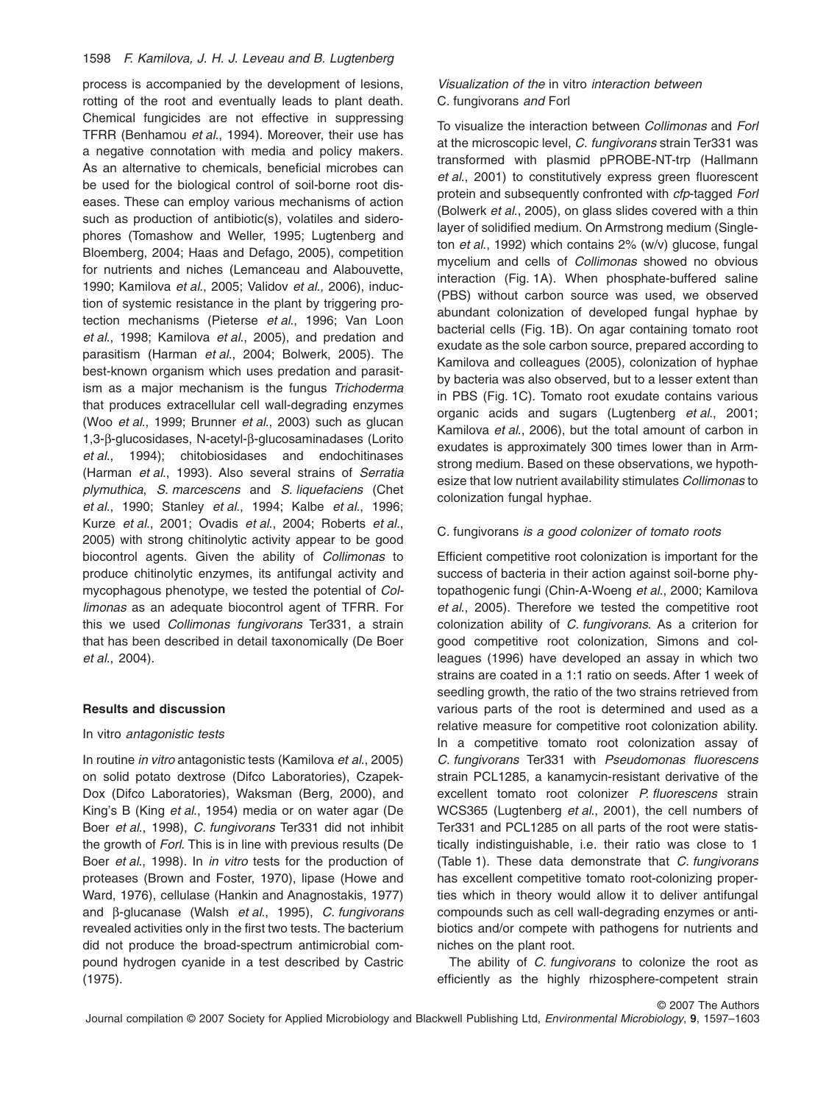## 1598 *F. Kamilova, J. H. J. Leveau and B. Lugtenberg*

process is accompanied by the development of lesions, rotting of the root and eventually leads to plant death. Chemical fungicides are not effective in suppressing TFRR (Benhamou *et al*., 1994). Moreover, their use has a negative connotation with media and policy makers. As an alternative to chemicals, beneficial microbes can be used for the biological control of soil-borne root diseases. These can employ various mechanisms of action such as production of antibiotic(s), volatiles and siderophores (Tomashow and Weller, 1995; Lugtenberg and Bloemberg, 2004; Haas and Defago, 2005), competition for nutrients and niches (Lemanceau and Alabouvette, 1990; Kamilova *et al*., 2005; Validov *et al*., 2006), induction of systemic resistance in the plant by triggering protection mechanisms (Pieterse *et al*., 1996; Van Loon *et al*., 1998; Kamilova *et al*., 2005), and predation and parasitism (Harman *et al*., 2004; Bolwerk, 2005). The best-known organism which uses predation and parasitism as a major mechanism is the fungus *Trichoderma* that produces extracellular cell wall-degrading enzymes (Woo *et al*., 1999; Brunner *et al*., 2003) such as glucan 1,3-b-glucosidases, N-acetyl-b-glucosaminadases (Lorito *et al*., 1994); chitobiosidases and endochitinases (Harman *et al*., 1993). Also several strains of *Serratia plymuthica*, *S. marcescens* and *S. liquefaciens* (Chet *et al*., 1990; Stanley *et al*., 1994; Kalbe *et al*., 1996; Kurze *et al*., 2001; Ovadis *et al*., 2004; Roberts *et al*., 2005) with strong chitinolytic activity appear to be good biocontrol agents. Given the ability of *Collimonas* to produce chitinolytic enzymes, its antifungal activity and mycophagous phenotype, we tested the potential of *Collimonas* as an adequate biocontrol agent of TFRR. For this we used *Collimonas fungivorans* Ter331, a strain that has been described in detail taxonomically (De Boer *et al*., 2004).

## **Results and discussion**

#### In vitro *antagonistic tests*

In routine *in vitro* antagonistic tests (Kamilova *et al*., 2005) on solid potato dextrose (Difco Laboratories), Czapek-Dox (Difco Laboratories), Waksman (Berg, 2000), and King's B (King *et al*., 1954) media or on water agar (De Boer *et al*., 1998), *C. fungivorans* Ter331 did not inhibit the growth of *Forl*. This is in line with previous results (De Boer *et al*., 1998). In *in vitro* tests for the production of proteases (Brown and Foster, 1970), lipase (Howe and Ward, 1976), cellulase (Hankin and Anagnostakis, 1977) and b-glucanase (Walsh *et al*., 1995), *C. fungivorans* revealed activities only in the first two tests. The bacterium did not produce the broad-spectrum antimicrobial compound hydrogen cyanide in a test described by Castric (1975).

## *Visualization of the* in vitro *interaction between* C. fungivorans *and* Forl

To visualize the interaction between *Collimonas* and *Forl* at the microscopic level, *C. fungivorans* strain Ter331 was transformed with plasmid pPROBE-NT-trp (Hallmann *et al*., 2001) to constitutively express green fluorescent protein and subsequently confronted with *cfp*-tagged *Forl* (Bolwerk *et al*., 2005), on glass slides covered with a thin layer of solidified medium. On Armstrong medium (Singleton *et al*., 1992) which contains 2% (w/v) glucose, fungal mycelium and cells of *Collimonas* showed no obvious interaction (Fig. 1A). When phosphate-buffered saline (PBS) without carbon source was used, we observed abundant colonization of developed fungal hyphae by bacterial cells (Fig. 1B). On agar containing tomato root exudate as the sole carbon source, prepared according to Kamilova and colleagues (2005), colonization of hyphae by bacteria was also observed, but to a lesser extent than in PBS (Fig. 1C). Tomato root exudate contains various organic acids and sugars (Lugtenberg *et al*., 2001; Kamilova *et al*., 2006), but the total amount of carbon in exudates is approximately 300 times lower than in Armstrong medium. Based on these observations, we hypothesize that low nutrient availability stimulates *Collimonas* to colonization fungal hyphae.

### C. fungivorans *is a good colonizer of tomato roots*

Efficient competitive root colonization is important for the success of bacteria in their action against soil-borne phytopathogenic fungi (Chin-A-Woeng *et al*., 2000; Kamilova *et al*., 2005). Therefore we tested the competitive root colonization ability of *C. fungivorans*. As a criterion for good competitive root colonization, Simons and colleagues (1996) have developed an assay in which two strains are coated in a 1:1 ratio on seeds. After 1 week of seedling growth, the ratio of the two strains retrieved from various parts of the root is determined and used as a relative measure for competitive root colonization ability. In a competitive tomato root colonization assay of *C. fungivorans* Ter331 with *Pseudomonas fluorescens* strain PCL1285, a kanamycin-resistant derivative of the excellent tomato root colonizer *P. fluorescens* strain WCS365 (Lugtenberg *et al*., 2001), the cell numbers of Ter331 and PCL1285 on all parts of the root were statistically indistinguishable, i.e. their ratio was close to 1 (Table 1). These data demonstrate that *C. fungivorans* has excellent competitive tomato root-colonizing properties which in theory would allow it to deliver antifungal compounds such as cell wall-degrading enzymes or antibiotics and/or compete with pathogens for nutrients and niches on the plant root.

The ability of *C. fungivorans* to colonize the root as efficiently as the highly rhizosphere-competent strain

© 2007 The Authors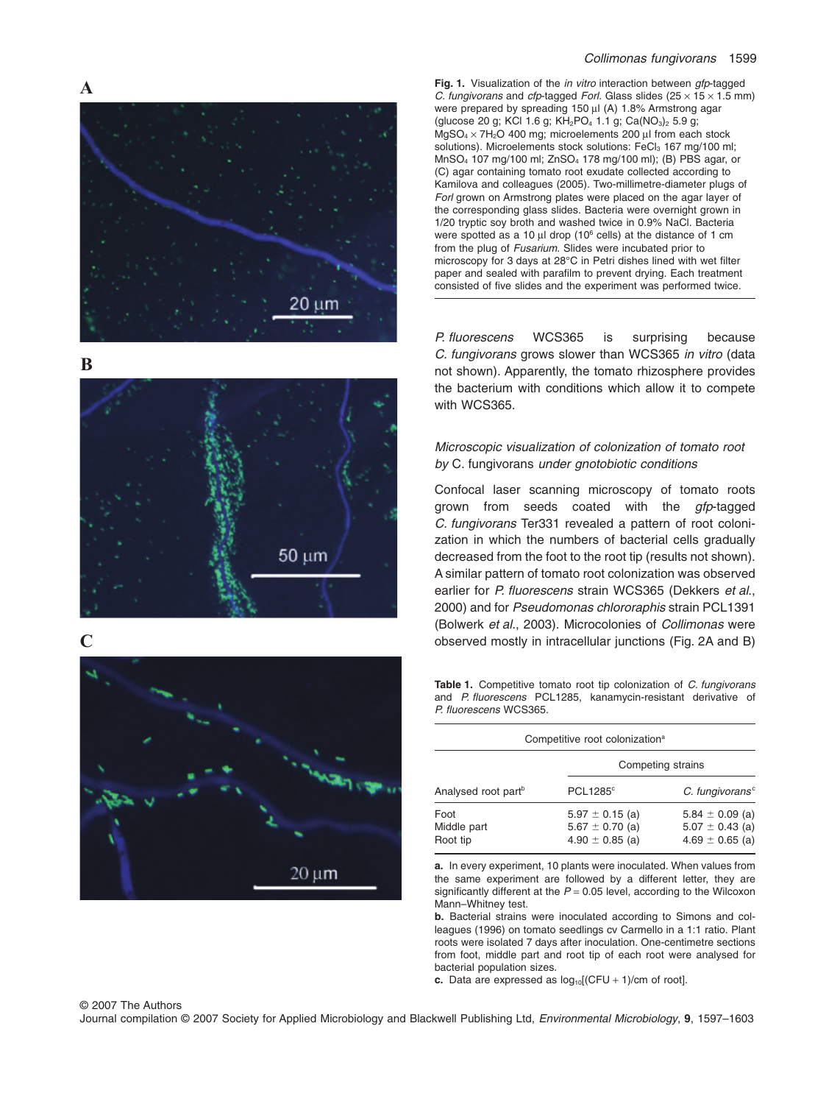

**B**



**C**



**Fig. 1.** Visualization of the *in vitro* interaction between *gfp*-tagged *C. fungivorans* and *cfp*-tagged *Forl.* Glass slides  $(25 \times 15 \times 1.5 \text{ mm})$ were prepared by spreading 150 µl (A) 1.8% Armstrong agar (glucose 20 g; KCl 1.6 g; KH<sub>2</sub>PO<sub>4</sub> 1.1 g; Ca(NO<sub>3</sub>)<sub>2</sub> 5.9 g;  $MgSO<sub>4</sub> \times 7H<sub>2</sub>O$  400 mg; microelements 200 µl from each stock solutions). Microelements stock solutions: FeCl<sub>3</sub> 167 mg/100 ml; MnSO4 107 mg/100 ml; ZnSO4 178 mg/100 ml); (B) PBS agar, or (C) agar containing tomato root exudate collected according to Kamilova and colleagues (2005). Two-millimetre-diameter plugs of *Forl* grown on Armstrong plates were placed on the agar layer of the corresponding glass slides. Bacteria were overnight grown in 1/20 tryptic soy broth and washed twice in 0.9% NaCl. Bacteria were spotted as a 10  $\mu$ l drop (10<sup>6</sup> cells) at the distance of 1 cm from the plug of *Fusarium*. Slides were incubated prior to microscopy for 3 days at 28°C in Petri dishes lined with wet filter paper and sealed with parafilm to prevent drying. Each treatment consisted of five slides and the experiment was performed twice.

*P. fluorescens* WCS365 is surprising because *C. fungivorans* grows slower than WCS365 *in vitro* (data not shown). Apparently, the tomato rhizosphere provides the bacterium with conditions which allow it to compete with WCS365.

## *Microscopic visualization of colonization of tomato root by* C. fungivorans *under gnotobiotic conditions*

Confocal laser scanning microscopy of tomato roots grown from seeds coated with the *gfp*-tagged *C. fungivorans* Ter331 revealed a pattern of root colonization in which the numbers of bacterial cells gradually decreased from the foot to the root tip (results not shown). A similar pattern of tomato root colonization was observed earlier for *P. fluorescens* strain WCS365 (Dekkers *et al*., 2000) and for *Pseudomonas chlororaphis* strain PCL1391 (Bolwerk *et al*., 2003). Microcolonies of *Collimonas* were observed mostly in intracellular junctions (Fig. 2A and B)

**Table 1.** Competitive tomato root tip colonization of *C. fungivorans* and *P. fluorescens* PCL1285, kanamycin-resistant derivative of *P. fluorescens* WCS365.

| Competitive root colonization <sup>a</sup> |                                                                   |                                                                   |  |  |  |  |  |
|--------------------------------------------|-------------------------------------------------------------------|-------------------------------------------------------------------|--|--|--|--|--|
| Analysed root part <sup>b</sup>            | Competing strains                                                 |                                                                   |  |  |  |  |  |
|                                            | PCL1285°                                                          | $C.$ fungivorans $c$                                              |  |  |  |  |  |
| Foot<br>Middle part<br>Root tip            | $5.97 \pm 0.15$ (a)<br>$5.67 \pm 0.70$ (a)<br>$4.90 \pm 0.85$ (a) | $5.84 \pm 0.09$ (a)<br>$5.07 \pm 0.43$ (a)<br>$4.69 \pm 0.65$ (a) |  |  |  |  |  |

**a.** In every experiment, 10 plants were inoculated. When values from the same experiment are followed by a different letter, they are significantly different at the *P* = 0.05 level, according to the Wilcoxon Mann–Whitney test.

**b.** Bacterial strains were inoculated according to Simons and colleagues (1996) on tomato seedlings cv Carmello in a 1:1 ratio. Plant roots were isolated 7 days after inoculation. One-centimetre sections from foot, middle part and root tip of each root were analysed for bacterial population sizes.

**c.** Data are expressed as  $log_{10}[(CFU + 1)/cm]$  of root].

#### © 2007 The Authors Journal compilation © 2007 Society for Applied Microbiology and Blackwell Publishing Ltd, *Environmental Microbiology*, **9**, 1597–1603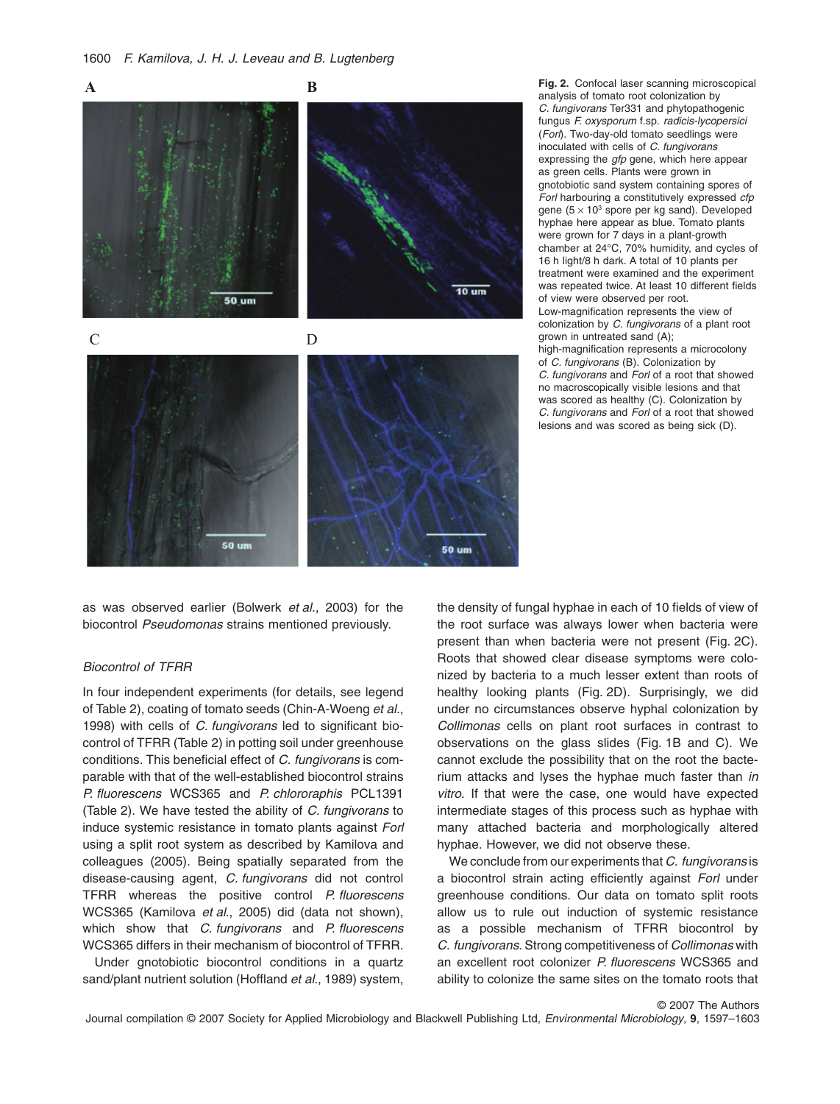

as was observed earlier (Bolwerk *et al*., 2003) for the biocontrol *Pseudomonas* strains mentioned previously.

## *Biocontrol of TFRR*

In four independent experiments (for details, see legend of Table 2), coating of tomato seeds (Chin-A-Woeng *et al*., 1998) with cells of *C. fungivorans* led to significant biocontrol of TFRR (Table 2) in potting soil under greenhouse conditions. This beneficial effect of *C. fungivorans* is comparable with that of the well-established biocontrol strains *P. fluorescens* WCS365 and *P. chlororaphis* PCL1391 (Table 2). We have tested the ability of *C. fungivorans* to induce systemic resistance in tomato plants against *Forl* using a split root system as described by Kamilova and colleagues (2005). Being spatially separated from the disease-causing agent, *C. fungivorans* did not control TFRR whereas the positive control *P. fluorescens* WCS365 (Kamilova *et al*., 2005) did (data not shown), which show that *C. fungivorans* and *P. fluorescens* WCS365 differs in their mechanism of biocontrol of TFRR.

Under gnotobiotic biocontrol conditions in a quartz sand/plant nutrient solution (Hoffland *et al*., 1989) system,

**Fig. 2.** Confocal laser scanning microscopical analysis of tomato root colonization by *C. fungivorans* Ter331 and phytopathogenic fungus *F. oxysporum* f.sp. *radicis-lycopersici* (*Forl*). Two-day-old tomato seedlings were inoculated with cells of *C. fungivorans* expressing the *gfp* gene, which here appear as green cells. Plants were grown in gnotobiotic sand system containing spores of *Forl* harbouring a constitutively expressed *cfp* gene ( $5 \times 10^3$  spore per kg sand). Developed hyphae here appear as blue. Tomato plants were grown for 7 days in a plant-growth chamber at 24°C, 70% humidity, and cycles of 16 h light/8 h dark. A total of 10 plants per treatment were examined and the experiment was repeated twice. At least 10 different fields of view were observed per root. Low-magnification represents the view of colonization by *C. fungivorans* of a plant root grown in untreated sand (A); high-magnification represents a microcolony of *C. fungivorans* (B). Colonization by *C. fungivorans* and *Forl* of a root that showed no macroscopically visible lesions and that was scored as healthy (C). Colonization by *C. fungivorans* and *Forl* of a root that showed lesions and was scored as being sick (D).

the density of fungal hyphae in each of 10 fields of view of the root surface was always lower when bacteria were present than when bacteria were not present (Fig. 2C). Roots that showed clear disease symptoms were colonized by bacteria to a much lesser extent than roots of healthy looking plants (Fig. 2D). Surprisingly, we did under no circumstances observe hyphal colonization by *Collimonas* cells on plant root surfaces in contrast to observations on the glass slides (Fig. 1B and C). We cannot exclude the possibility that on the root the bacterium attacks and lyses the hyphae much faster than *in vitro.* If that were the case, one would have expected intermediate stages of this process such as hyphae with many attached bacteria and morphologically altered hyphae. However, we did not observe these.

We conclude from our experiments that *C. fungivorans* is a biocontrol strain acting efficiently against *Forl* under greenhouse conditions. Our data on tomato split roots allow us to rule out induction of systemic resistance as a possible mechanism of TFRR biocontrol by *C. fungivorans*. Strong competitiveness of *Collimonas* with an excellent root colonizer *P. fluorescens* WCS365 and ability to colonize the same sites on the tomato roots that

© 2007 The Authors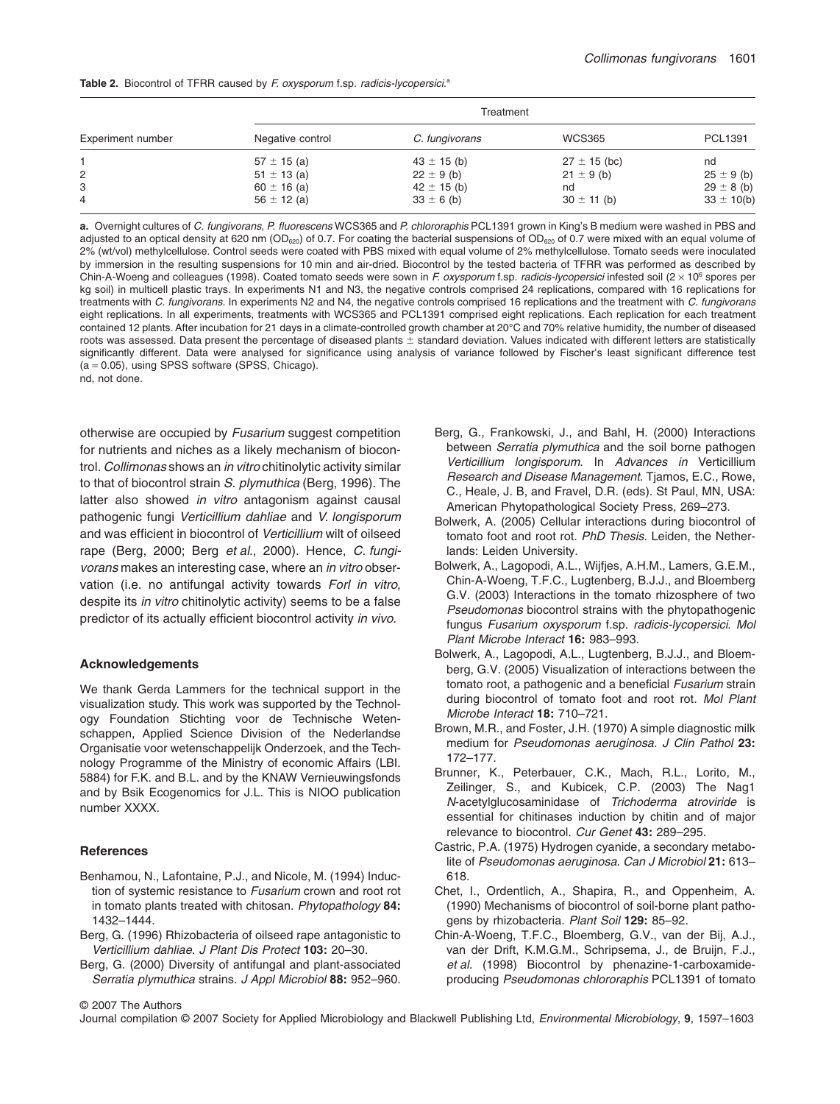|  |  |  |  |  |  |  | <b>Table 2.</b> Biocontrol of TFRR caused by F oxysporum f.sp. radicis-lycopersici. <sup>a</sup> |
|--|--|--|--|--|--|--|--------------------------------------------------------------------------------------------------|
|--|--|--|--|--|--|--|--------------------------------------------------------------------------------------------------|

| Experiment number |                  |                 |                  |                |
|-------------------|------------------|-----------------|------------------|----------------|
|                   | Negative control | C. fungivorans  | <b>WCS365</b>    | PCL1391        |
|                   | $57 \pm 15$ (a)  | $43 \pm 15$ (b) | $27 \pm 15$ (bc) | nd             |
| 2                 | $51 \pm 13$ (a)  | $22 \pm 9$ (b)  | $21 \pm 9$ (b)   | $25 \pm 9$ (b) |
| 3                 | $60 \pm 16$ (a)  | $42 \pm 15$ (b) | nd               | $29 \pm 8$ (b) |
| 4                 | $56 \pm 12$ (a)  | $33 \pm 6$ (b)  | $30 \pm 11$ (b)  | $33 \pm 10(b)$ |

**a.** Overnight cultures of *C. fungivorans*, *P. fluorescens* WCS365 and *P. chlororaphis* PCL1391 grown in King's B medium were washed in PBS and adjusted to an optical density at 620 nm (OD<sub>620</sub>) of 0.7. For coating the bacterial suspensions of OD<sub>620</sub> of 0.7 were mixed with an equal volume of 2% (wt/vol) methylcellulose. Control seeds were coated with PBS mixed with equal volume of 2% methylcellulose. Tomato seeds were inoculated by immersion in the resulting suspensions for 10 min and air-dried. Biocontrol by the tested bacteria of TFRR was performed as described by Chin-A-Woeng and colleagues (1998). Coated tomato seeds were sown in *F. oxysporum* f.sp. *radicis-lycopersici* infested soil (2 ¥ 106 spores per kg soil) in multicell plastic trays. In experiments N1 and N3, the negative controls comprised 24 replications, compared with 16 replications for treatments with *C. fungivorans*. In experiments N2 and N4, the negative controls comprised 16 replications and the treatment with *C. fungivorans* eight replications. In all experiments, treatments with WCS365 and PCL1391 comprised eight replications. Each replication for each treatment contained 12 plants. After incubation for 21 days in a climate-controlled growth chamber at 20°C and 70% relative humidity, the number of diseased roots was assessed. Data present the percentage of diseased plants  $\pm$  standard deviation. Values indicated with different letters are statistically significantly different. Data were analysed for significance using analysis of variance followed by Fischer's least significant difference test  $(a = 0.05)$ , using SPSS software (SPSS, Chicago).

nd, not done.

otherwise are occupied by *Fusarium* suggest competition for nutrients and niches as a likely mechanism of biocontrol. *Collimonas* shows an *in vitro* chitinolytic activity similar to that of biocontrol strain *S. plymuthica* (Berg, 1996). The latter also showed *in vitro* antagonism against causal pathogenic fungi *Verticillium dahliae* and *V. longisporum* and was efficient in biocontrol of *Verticillium* wilt of oilseed rape (Berg, 2000; Berg *et al*., 2000). Hence, *C. fungivorans* makes an interesting case, where an *in vitro* observation (i.e. no antifungal activity towards *Forl in vitro*, despite its *in vitro* chitinolytic activity) seems to be a false predictor of its actually efficient biocontrol activity *in vivo*.

#### **Acknowledgements**

We thank Gerda Lammers for the technical support in the visualization study. This work was supported by the Technology Foundation Stichting voor de Technische Wetenschappen, Applied Science Division of the Nederlandse Organisatie voor wetenschappelijk Onderzoek, and the Technology Programme of the Ministry of economic Affairs (LBI. 5884) for F.K. and B.L. and by the KNAW Vernieuwingsfonds and by Bsik Ecogenomics for J.L. This is NIOO publication number XXXX.

#### **References**

- Benhamou, N., Lafontaine, P.J., and Nicole, M. (1994) Induction of systemic resistance to *Fusarium* crown and root rot in tomato plants treated with chitosan. *Phytopathology* **84:** 1432–1444.
- Berg, G. (1996) Rhizobacteria of oilseed rape antagonistic to *Verticillium dahliae*. *J Plant Dis Protect* **103:** 20–30.
- Berg, G. (2000) Diversity of antifungal and plant-associated *Serratia plymuthica* strains. *J Appl Microbiol* **88:** 952–960.
- Berg, G., Frankowski, J., and Bahl, H. (2000) Interactions between *Serratia plymuthica* and the soil borne pathogen *Verticillium longisporum*. In *Advances in* Verticillium *Research and Disease Management*. Tjamos, E.C., Rowe, C., Heale, J. B, and Fravel, D.R. (eds). St Paul, MN, USA: American Phytopathological Society Press, 269–273.
- Bolwerk, A. (2005) Cellular interactions during biocontrol of tomato foot and root rot. *PhD Thesis*. Leiden, the Netherlands: Leiden University.
- Bolwerk, A., Lagopodi, A.L., Wijfjes, A.H.M., Lamers, G.E.M., Chin-A-Woeng, T.F.C., Lugtenberg, B.J.J., and Bloemberg G.V. (2003) Interactions in the tomato rhizosphere of two *Pseudomonas* biocontrol strains with the phytopathogenic fungus *Fusarium oxysporum* f.sp. *radicis-lycopersici*. *Mol Plant Microbe Interact* **16:** 983–993.
- Bolwerk, A., Lagopodi, A.L., Lugtenberg, B.J.J., and Bloemberg, G.V. (2005) Visualization of interactions between the tomato root, a pathogenic and a beneficial *Fusarium* strain during biocontrol of tomato foot and root rot. *Mol Plant Microbe Interact* **18:** 710–721.
- Brown, M.R., and Foster, J.H. (1970) A simple diagnostic milk medium for *Pseudomonas aeruginosa*. *J Clin Pathol* **23:** 172–177.
- Brunner, K., Peterbauer, C.K., Mach, R.L., Lorito, M., Zeilinger, S., and Kubicek, C.P. (2003) The Nag1 *N*-acetylglucosaminidase of *Trichoderma atroviride* is essential for chitinases induction by chitin and of major relevance to biocontrol. *Cur Genet* **43:** 289–295.
- Castric, P.A. (1975) Hydrogen cyanide, a secondary metabolite of *Pseudomonas aeruginosa*. *Can J Microbiol* **21:** 613– 618.
- Chet, I., Ordentlich, A., Shapira, R., and Oppenheim, A. (1990) Mechanisms of biocontrol of soil-borne plant pathogens by rhizobacteria. *Plant Soil* **129:** 85–92.
- Chin-A-Woeng, T.F.C., Bloemberg, G.V., van der Bij, A.J., van der Drift, K.M.G.M., Schripsema, J., de Bruijn, F.J., *et al.* (1998) Biocontrol by phenazine-1-carboxamideproducing *Pseudomonas chlororaphis* PCL1391 of tomato

© 2007 The Authors

Journal compilation © 2007 Society for Applied Microbiology and Blackwell Publishing Ltd, *Environmental Microbiology*, **9**, 1597–1603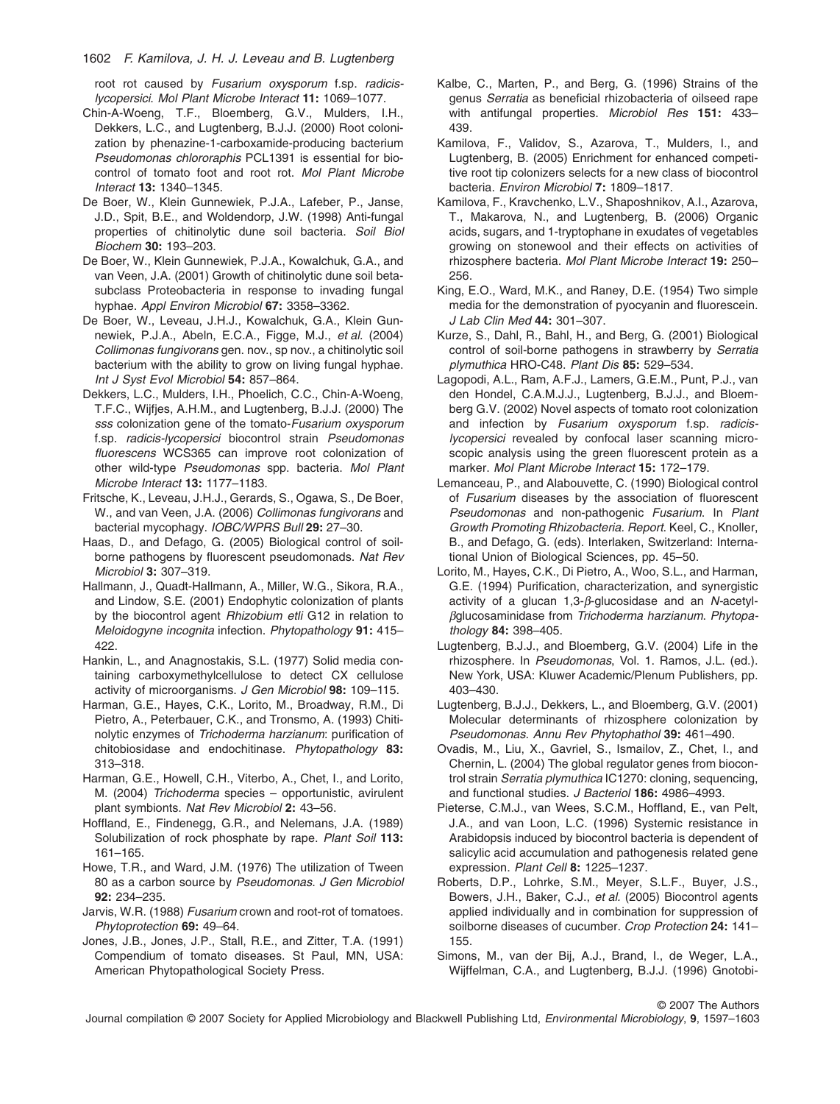1602 *F. Kamilova, J. H. J. Leveau and B. Lugtenberg*

root rot caused by *Fusarium oxysporum* f.sp. *radicislycopersici*. *Mol Plant Microbe Interact* **11:** 1069–1077.

- Chin-A-Woeng, T.F., Bloemberg, G.V., Mulders, I.H., Dekkers, L.C., and Lugtenberg, B.J.J. (2000) Root colonization by phenazine-1-carboxamide-producing bacterium *Pseudomonas chlororaphis* PCL1391 is essential for biocontrol of tomato foot and root rot. *Mol Plant Microbe Interact* **13:** 1340–1345.
- De Boer, W., Klein Gunnewiek, P.J.A., Lafeber, P., Janse, J.D., Spit, B.E., and Woldendorp, J.W. (1998) Anti-fungal properties of chitinolytic dune soil bacteria. *Soil Biol Biochem* **30:** 193–203.
- De Boer, W., Klein Gunnewiek, P.J.A., Kowalchuk, G.A., and van Veen, J.A. (2001) Growth of chitinolytic dune soil betasubclass Proteobacteria in response to invading fungal hyphae. *Appl Environ Microbiol* **67:** 3358–3362.
- De Boer, W., Leveau, J.H.J., Kowalchuk, G.A., Klein Gunnewiek, P.J.A., Abeln, E.C.A., Figge, M.J., *et al.* (2004) *Collimonas fungivorans* gen. nov., sp nov., a chitinolytic soil bacterium with the ability to grow on living fungal hyphae. *Int J Syst Evol Microbiol* **54:** 857–864.
- Dekkers, L.C., Mulders, I.H., Phoelich, C.C., Chin-A-Woeng, T.F.C., Wijfjes, A.H.M., and Lugtenberg, B.J.J. (2000) The *sss* colonization gene of the tomato-*Fusarium oxysporum* f.sp. *radicis-lycopersici* biocontrol strain *Pseudomonas fluorescens* WCS365 can improve root colonization of other wild-type *Pseudomonas* spp. bacteria. *Mol Plant Microbe Interact* **13:** 1177–1183.
- Fritsche, K., Leveau, J.H.J., Gerards, S., Ogawa, S., De Boer, W., and van Veen, J.A. (2006) *Collimonas fungivorans* and bacterial mycophagy. *IOBC/WPRS Bull* **29:** 27–30.
- Haas, D., and Defago, G. (2005) Biological control of soilborne pathogens by fluorescent pseudomonads. *Nat Rev Microbiol* **3:** 307–319.
- Hallmann, J., Quadt-Hallmann, A., Miller, W.G., Sikora, R.A., and Lindow, S.E. (2001) Endophytic colonization of plants by the biocontrol agent *Rhizobium etli* G12 in relation to *Meloidogyne incognita* infection. *Phytopathology* **91:** 415– 422.
- Hankin, L., and Anagnostakis, S.L. (1977) Solid media containing carboxymethylcellulose to detect CX cellulose activity of microorganisms. *J Gen Microbiol* **98:** 109–115.
- Harman, G.E., Hayes, C.K., Lorito, M., Broadway, R.M., Di Pietro, A., Peterbauer, C.K., and Tronsmo, A. (1993) Chitinolytic enzymes of *Trichoderma harzianum*: purification of chitobiosidase and endochitinase. *Phytopathology* **83:** 313–318.
- Harman, G.E., Howell, C.H., Viterbo, A., Chet, I., and Lorito, M. (2004) *Trichoderma* species – opportunistic, avirulent plant symbionts. *Nat Rev Microbiol* **2:** 43–56.
- Hoffland, E., Findenegg, G.R., and Nelemans, J.A. (1989) Solubilization of rock phosphate by rape. *Plant Soil* **113:** 161–165.
- Howe, T.R., and Ward, J.M. (1976) The utilization of Tween 80 as a carbon source by *Pseudomonas*. *J Gen Microbiol* **92:** 234–235.
- Jarvis, W.R. (1988) *Fusarium* crown and root-rot of tomatoes. *Phytoprotection* **69:** 49–64.
- Jones, J.B., Jones, J.P., Stall, R.E., and Zitter, T.A. (1991) Compendium of tomato diseases. St Paul, MN, USA: American Phytopathological Society Press.
- Kalbe, C., Marten, P., and Berg, G. (1996) Strains of the genus *Serratia* as beneficial rhizobacteria of oilseed rape with antifungal properties. *Microbiol Res* **151:** 433– 439.
- Kamilova, F., Validov, S., Azarova, T., Mulders, I., and Lugtenberg, B. (2005) Enrichment for enhanced competitive root tip colonizers selects for a new class of biocontrol bacteria. *Environ Microbiol* **7:** 1809–1817.
- Kamilova, F., Kravchenko, L.V., Shaposhnikov, A.I., Azarova, T., Makarova, N., and Lugtenberg, B. (2006) Organic acids, sugars, and 1-tryptophane in exudates of vegetables growing on stonewool and their effects on activities of rhizosphere bacteria. *Mol Plant Microbe Interact* **19:** 250– 256.
- King, E.O., Ward, M.K., and Raney, D.E. (1954) Two simple media for the demonstration of pyocyanin and fluorescein. *J Lab Clin Med* **44:** 301–307.
- Kurze, S., Dahl, R., Bahl, H., and Berg, G. (2001) Biological control of soil-borne pathogens in strawberry by *Serratia plymuthica* HRO-C48. *Plant Dis* **85:** 529–534.
- Lagopodi, A.L., Ram, A.F.J., Lamers, G.E.M., Punt, P.J., van den Hondel, C.A.M.J.J., Lugtenberg, B.J.J., and Bloemberg G.V. (2002) Novel aspects of tomato root colonization and infection by *Fusarium oxysporum* f.sp. *radicislycopersici* revealed by confocal laser scanning microscopic analysis using the green fluorescent protein as a marker. *Mol Plant Microbe Interact* **15:** 172–179.
- Lemanceau, P., and Alabouvette, C. (1990) Biological control of *Fusarium* diseases by the association of fluorescent *Pseudomonas* and non-pathogenic *Fusarium*. In *Plant Growth Promoting Rhizobacteria. Report*. Keel, C., Knoller, B., and Defago, G. (eds). Interlaken, Switzerland: International Union of Biological Sciences, pp. 45–50.
- Lorito, M., Hayes, C.K., Di Pietro, A., Woo, S.L., and Harman, G.E. (1994) Purification, characterization, and synergistic activity of a glucan 1,3-*β*-glucosidase and an *N*-acetylbglucosaminidase from *Trichoderma harzianum*. *Phytopathology* **84:** 398–405.
- Lugtenberg, B.J.J., and Bloemberg, G.V. (2004) Life in the rhizosphere. In *Pseudomonas*, Vol. 1. Ramos, J.L. (ed.). New York, USA: Kluwer Academic/Plenum Publishers, pp. 403–430.
- Lugtenberg, B.J.J., Dekkers, L., and Bloemberg, G.V. (2001) Molecular determinants of rhizosphere colonization by *Pseudomonas*. *Annu Rev Phytophathol* **39:** 461–490.
- Ovadis, M., Liu, X., Gavriel, S., Ismailov, Z., Chet, I., and Chernin, L. (2004) The global regulator genes from biocontrol strain *Serratia plymuthica* IC1270: cloning, sequencing, and functional studies. *J Bacteriol* **186:** 4986–4993.
- Pieterse, C.M.J., van Wees, S.C.M., Hoffland, E., van Pelt, J.A., and van Loon, L.C. (1996) Systemic resistance in Arabidopsis induced by biocontrol bacteria is dependent of salicylic acid accumulation and pathogenesis related gene expression. *Plant Cell* **8:** 1225–1237.
- Roberts, D.P., Lohrke, S.M., Meyer, S.L.F., Buyer, J.S., Bowers, J.H., Baker, C.J., *et al.* (2005) Biocontrol agents applied individually and in combination for suppression of soilborne diseases of cucumber. *Crop Protection* **24:** 141– 155.
- Simons, M., van der Bij, A.J., Brand, I., de Weger, L.A., Wijffelman, C.A., and Lugtenberg, B.J.J. (1996) Gnotobi-

© 2007 The Authors

Journal compilation © 2007 Society for Applied Microbiology and Blackwell Publishing Ltd, *Environmental Microbiology*, **9**, 1597–1603